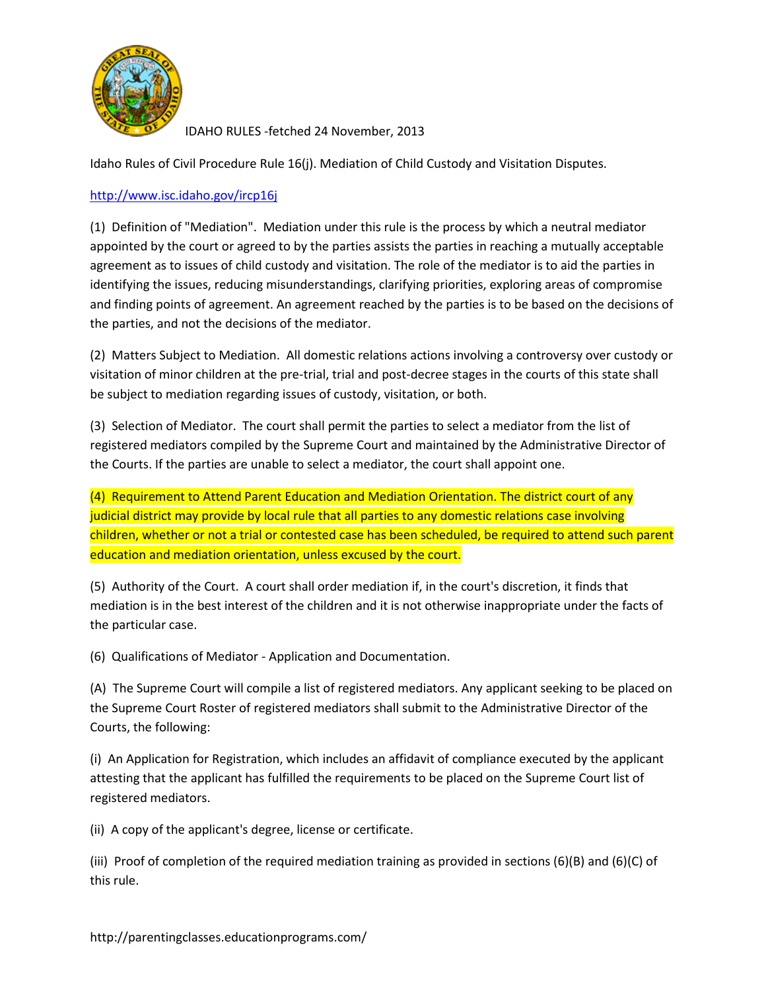

Idaho Rules of Civil Procedure Rule 16(j). Mediation of Child Custody and Visitation Disputes.

## <http://www.isc.idaho.gov/ircp16j>

(1) Definition of "Mediation". Mediation under this rule is the process by which a neutral mediator appointed by the court or agreed to by the parties assists the parties in reaching a mutually acceptable agreement as to issues of child custody and visitation. The role of the mediator is to aid the parties in identifying the issues, reducing misunderstandings, clarifying priorities, exploring areas of compromise and finding points of agreement. An agreement reached by the parties is to be based on the decisions of the parties, and not the decisions of the mediator.

(2) Matters Subject to Mediation. All domestic relations actions involving a controversy over custody or visitation of minor children at the pre-trial, trial and post-decree stages in the courts of this state shall be subject to mediation regarding issues of custody, visitation, or both.

(3) Selection of Mediator. The court shall permit the parties to select a mediator from the list of registered mediators compiled by the Supreme Court and maintained by the Administrative Director of the Courts. If the parties are unable to select a mediator, the court shall appoint one.

(4) Requirement to Attend Parent Education and Mediation Orientation. The district court of any judicial district may provide by local rule that all parties to any domestic relations case involving children, whether or not a trial or contested case has been scheduled, be required to attend such parent education and mediation orientation, unless excused by the court.

(5) Authority of the Court. A court shall order mediation if, in the court's discretion, it finds that mediation is in the best interest of the children and it is not otherwise inappropriate under the facts of the particular case.

(6) Qualifications of Mediator - Application and Documentation.

(A) The Supreme Court will compile a list of registered mediators. Any applicant seeking to be placed on the Supreme Court Roster of registered mediators shall submit to the Administrative Director of the Courts, the following:

(i) An Application for Registration, which includes an affidavit of compliance executed by the applicant attesting that the applicant has fulfilled the requirements to be placed on the Supreme Court list of registered mediators.

(ii) A copy of the applicant's degree, license or certificate.

(iii) Proof of completion of the required mediation training as provided in sections (6)(B) and (6)(C) of this rule.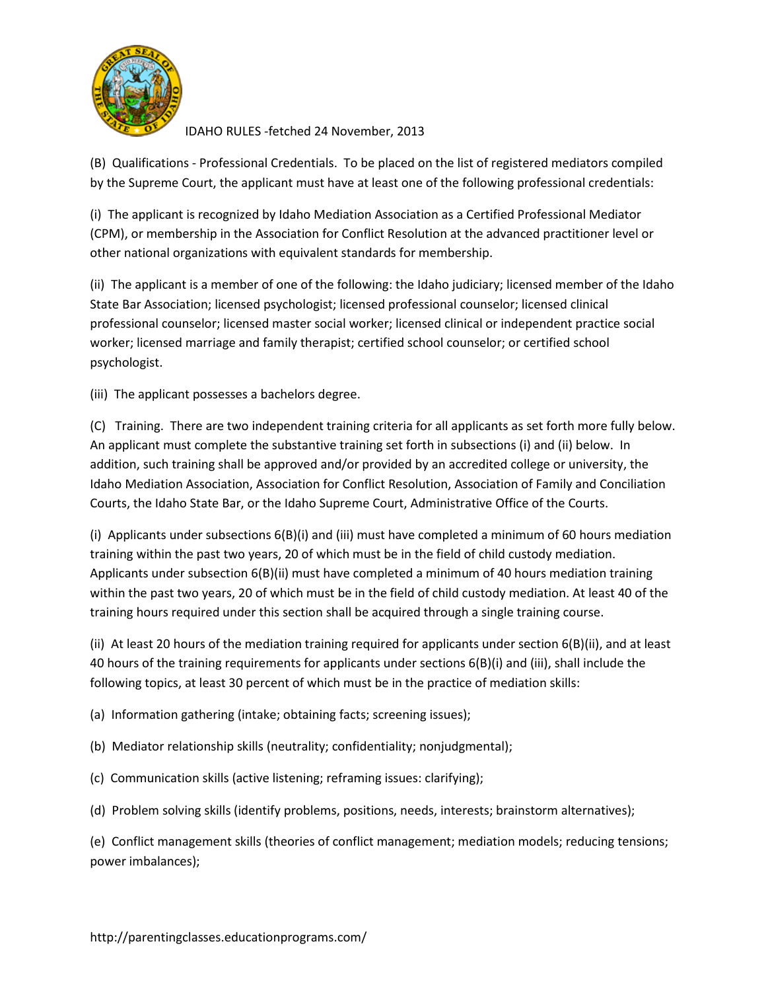

(B) Qualifications - Professional Credentials. To be placed on the list of registered mediators compiled by the Supreme Court, the applicant must have at least one of the following professional credentials:

(i) The applicant is recognized by Idaho Mediation Association as a Certified Professional Mediator (CPM), or membership in the Association for Conflict Resolution at the advanced practitioner level or other national organizations with equivalent standards for membership.

(ii) The applicant is a member of one of the following: the Idaho judiciary; licensed member of the Idaho State Bar Association; licensed psychologist; licensed professional counselor; licensed clinical professional counselor; licensed master social worker; licensed clinical or independent practice social worker; licensed marriage and family therapist; certified school counselor; or certified school psychologist.

(iii) The applicant possesses a bachelors degree.

(C) Training. There are two independent training criteria for all applicants as set forth more fully below. An applicant must complete the substantive training set forth in subsections (i) and (ii) below. In addition, such training shall be approved and/or provided by an accredited college or university, the Idaho Mediation Association, Association for Conflict Resolution, Association of Family and Conciliation Courts, the Idaho State Bar, or the Idaho Supreme Court, Administrative Office of the Courts.

(i) Applicants under subsections 6(B)(i) and (iii) must have completed a minimum of 60 hours mediation training within the past two years, 20 of which must be in the field of child custody mediation. Applicants under subsection 6(B)(ii) must have completed a minimum of 40 hours mediation training within the past two years, 20 of which must be in the field of child custody mediation. At least 40 of the training hours required under this section shall be acquired through a single training course.

(ii) At least 20 hours of the mediation training required for applicants under section 6(B)(ii), and at least 40 hours of the training requirements for applicants under sections 6(B)(i) and (iii), shall include the following topics, at least 30 percent of which must be in the practice of mediation skills:

(a) Information gathering (intake; obtaining facts; screening issues);

- (b) Mediator relationship skills (neutrality; confidentiality; nonjudgmental);
- (c) Communication skills (active listening; reframing issues: clarifying);
- (d) Problem solving skills (identify problems, positions, needs, interests; brainstorm alternatives);

(e) Conflict management skills (theories of conflict management; mediation models; reducing tensions; power imbalances);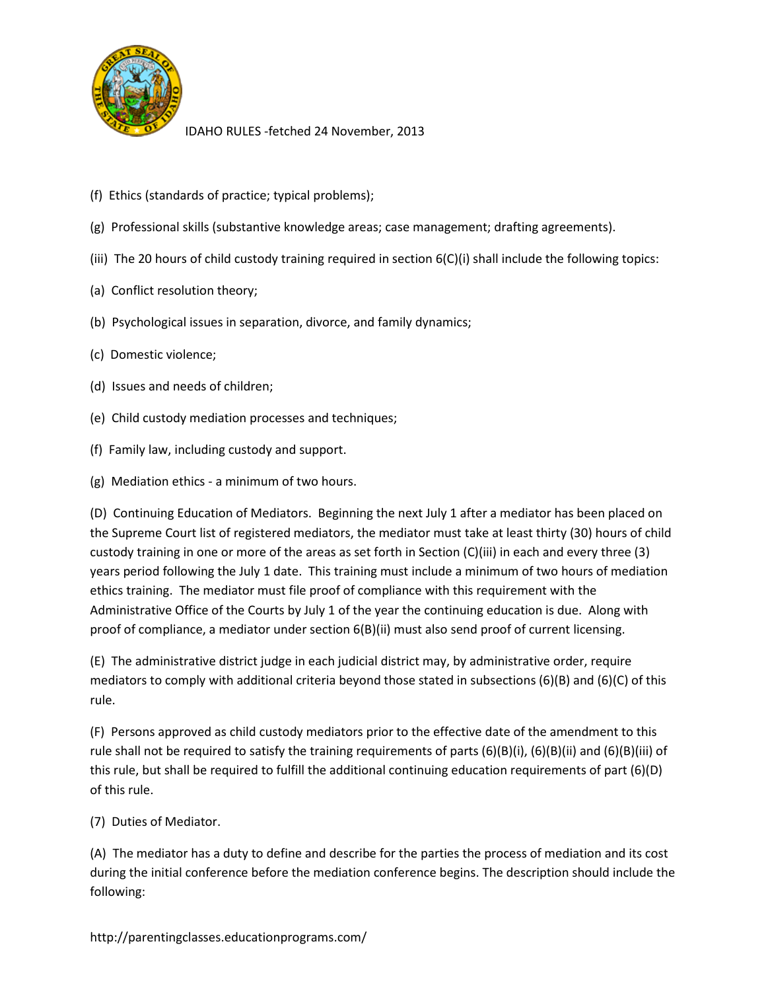

- (f) Ethics (standards of practice; typical problems);
- (g) Professional skills (substantive knowledge areas; case management; drafting agreements).
- (iii) The 20 hours of child custody training required in section 6(C)(i) shall include the following topics:
- (a) Conflict resolution theory;
- (b) Psychological issues in separation, divorce, and family dynamics;
- (c) Domestic violence;
- (d) Issues and needs of children;
- (e) Child custody mediation processes and techniques;
- (f) Family law, including custody and support.
- (g) Mediation ethics a minimum of two hours.

(D) Continuing Education of Mediators. Beginning the next July 1 after a mediator has been placed on the Supreme Court list of registered mediators, the mediator must take at least thirty (30) hours of child custody training in one or more of the areas as set forth in Section (C)(iii) in each and every three (3) years period following the July 1 date. This training must include a minimum of two hours of mediation ethics training. The mediator must file proof of compliance with this requirement with the Administrative Office of the Courts by July 1 of the year the continuing education is due. Along with proof of compliance, a mediator under section 6(B)(ii) must also send proof of current licensing.

(E) The administrative district judge in each judicial district may, by administrative order, require mediators to comply with additional criteria beyond those stated in subsections (6)(B) and (6)(C) of this rule.

(F) Persons approved as child custody mediators prior to the effective date of the amendment to this rule shall not be required to satisfy the training requirements of parts (6)(B)(i), (6)(B)(ii) and (6)(B)(iii) of this rule, but shall be required to fulfill the additional continuing education requirements of part (6)(D) of this rule.

(7) Duties of Mediator.

(A) The mediator has a duty to define and describe for the parties the process of mediation and its cost during the initial conference before the mediation conference begins. The description should include the following: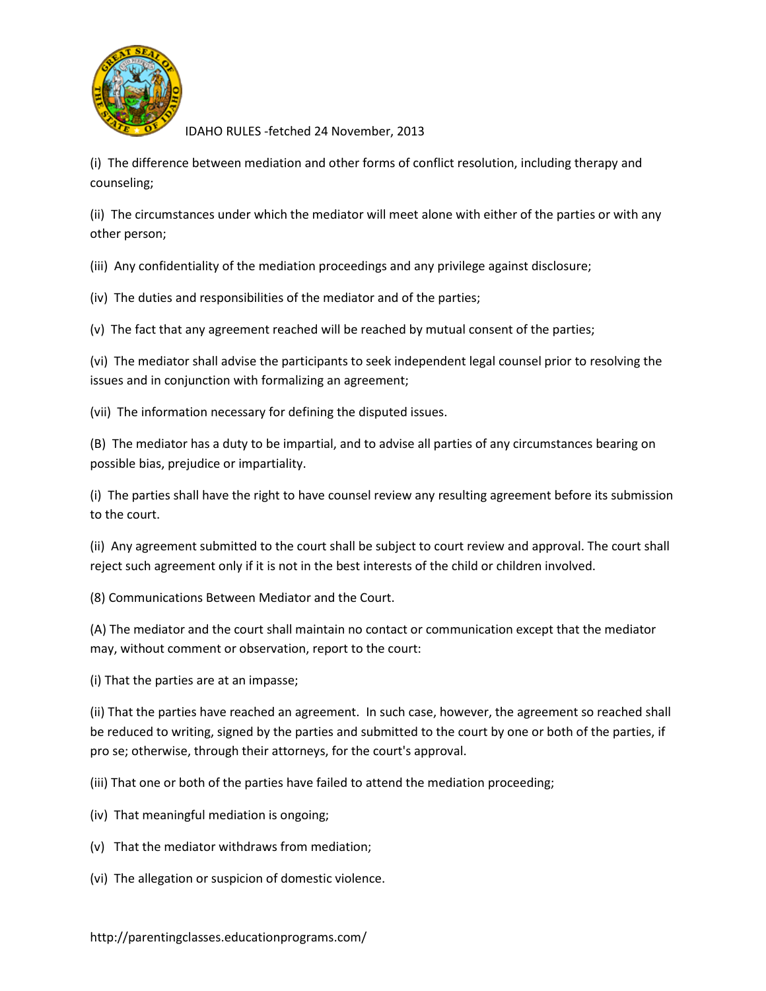

(i) The difference between mediation and other forms of conflict resolution, including therapy and counseling;

(ii) The circumstances under which the mediator will meet alone with either of the parties or with any other person;

(iii) Any confidentiality of the mediation proceedings and any privilege against disclosure;

(iv) The duties and responsibilities of the mediator and of the parties;

(v) The fact that any agreement reached will be reached by mutual consent of the parties;

(vi) The mediator shall advise the participants to seek independent legal counsel prior to resolving the issues and in conjunction with formalizing an agreement;

(vii) The information necessary for defining the disputed issues.

(B) The mediator has a duty to be impartial, and to advise all parties of any circumstances bearing on possible bias, prejudice or impartiality.

(i) The parties shall have the right to have counsel review any resulting agreement before its submission to the court.

(ii) Any agreement submitted to the court shall be subject to court review and approval. The court shall reject such agreement only if it is not in the best interests of the child or children involved.

(8) Communications Between Mediator and the Court.

(A) The mediator and the court shall maintain no contact or communication except that the mediator may, without comment or observation, report to the court:

(i) That the parties are at an impasse;

(ii) That the parties have reached an agreement. In such case, however, the agreement so reached shall be reduced to writing, signed by the parties and submitted to the court by one or both of the parties, if pro se; otherwise, through their attorneys, for the court's approval.

(iii) That one or both of the parties have failed to attend the mediation proceeding;

- (iv) That meaningful mediation is ongoing;
- (v) That the mediator withdraws from mediation;
- (vi) The allegation or suspicion of domestic violence.